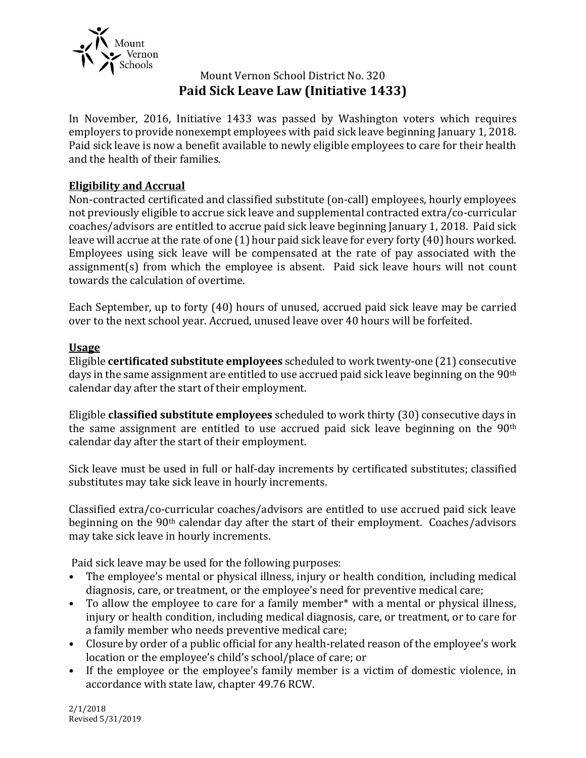

# Mount Vernon School District No. 320 **Paid Sick Leave Law (Initiative 1433)**

In November, 2016, Initiative 1433 was passed by Washington voters which requires employers to provide nonexempt employees with paid sick leave beginning January 1, 2018. Paid sick leave is now a benefit available to newly eligible employees to care for their health and the health of their families.

## **Eligibility and Accrual**

Non-contracted certificated and classified substitute (on-call) employees, hourly employees not previously eligible to accrue sick leave and supplemental contracted extra/co-curricular coaches/advisors are entitled to accrue paid sick leave beginning January 1, 2018. Paid sick leave will accrue at the rate of one (1) hour paid sick leave for every forty (40) hours worked. Employees using sick leave will be compensated at the rate of pay associated with the assignment(s) from which the employee is absent. Paid sick leave hours will not count towards the calculation of overtime.

Each September, up to forty (40) hours of unused, accrued paid sick leave may be carried over to the next school year. Accrued, unused leave over 40 hours will be forfeited.

#### **Usage**

Eligible **certificated substitute employees** scheduled to work twenty-one (21) consecutive days in the same assignment are entitled to use accrued paid sick leave beginning on the 90<sup>th</sup> calendar day after the start of their employment.

Eligible **classified substitute employees** scheduled to work thirty (30) consecutive days in the same assignment are entitled to use accrued paid sick leave beginning on the 90th calendar day after the start of their employment.

Sick leave must be used in full or half-day increments by certificated substitutes; classified substitutes may take sick leave in hourly increments.

Classified extra/co-curricular coaches/advisors are entitled to use accrued paid sick leave beginning on the 90th calendar day after the start of their employment. Coaches/advisors may take sick leave in hourly increments.

Paid sick leave may be used for the following purposes:

- The employee's mental or physical illness, injury or health condition, including medical diagnosis, care, or treatment, or the employee's need for preventive medical care;
- To allow the employee to care for a family member\* with a mental or physical illness, injury or health condition, including medical diagnosis, care, or treatment, or to care for a family member who needs preventive medical care;
- Closure by order of a public official for any health-related reason of the employee's work location or the employee's child's school/place of care; or
- If the employee or the employee's family member is a victim of domestic violence, in accordance with state law, chapter 49.76 RCW.